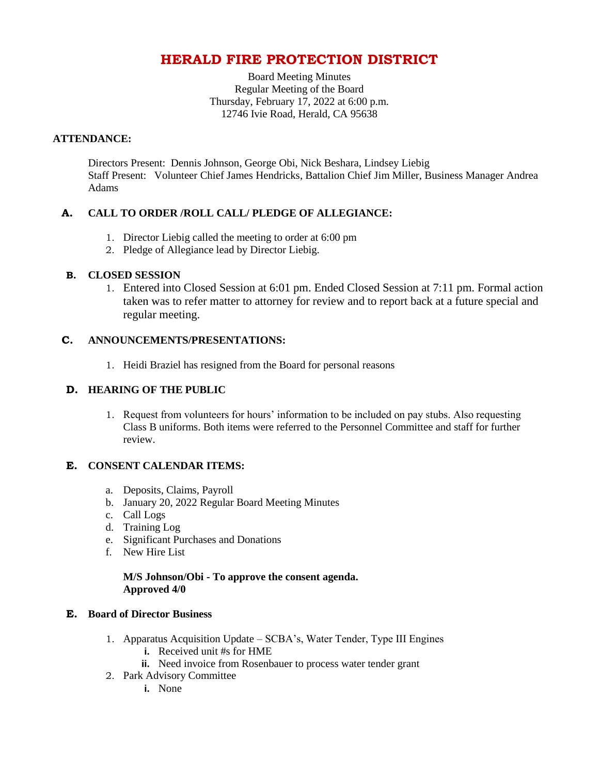# **HERALD FIRE PROTECTION DISTRICT**

Board Meeting Minutes Regular Meeting of the Board Thursday, February 17, 2022 at 6:00 p.m. 12746 Ivie Road, Herald, CA 95638

#### **ATTENDANCE:**

Directors Present: Dennis Johnson, George Obi, Nick Beshara, Lindsey Liebig Staff Present: Volunteer Chief James Hendricks, Battalion Chief Jim Miller, Business Manager Andrea Adams

## **A. CALL TO ORDER /ROLL CALL/ PLEDGE OF ALLEGIANCE:**

- 1. Director Liebig called the meeting to order at 6:00 pm
- 2. Pledge of Allegiance lead by Director Liebig.

#### **B. CLOSED SESSION**

1. Entered into Closed Session at 6:01 pm. Ended Closed Session at 7:11 pm. Formal action taken was to refer matter to attorney for review and to report back at a future special and regular meeting.

#### **C. ANNOUNCEMENTS/PRESENTATIONS:**

1. Heidi Braziel has resigned from the Board for personal reasons

### **D. HEARING OF THE PUBLIC**

1. Request from volunteers for hours' information to be included on pay stubs. Also requesting Class B uniforms. Both items were referred to the Personnel Committee and staff for further review.

#### **E. CONSENT CALENDAR ITEMS:**

- a. Deposits, Claims, Payroll
- b. January 20, 2022 Regular Board Meeting Minutes
- c. Call Logs
- d. Training Log
- e. Significant Purchases and Donations
- f. New Hire List

#### **M/S Johnson/Obi - To approve the consent agenda. Approved 4/0**

#### **E. Board of Director Business**

- 1. Apparatus Acquisition Update SCBA's, Water Tender, Type III Engines
	- **i.** Received unit #s for HME
	- **ii.** Need invoice from Rosenbauer to process water tender grant
- 2. Park Advisory Committee
	- **i.** None